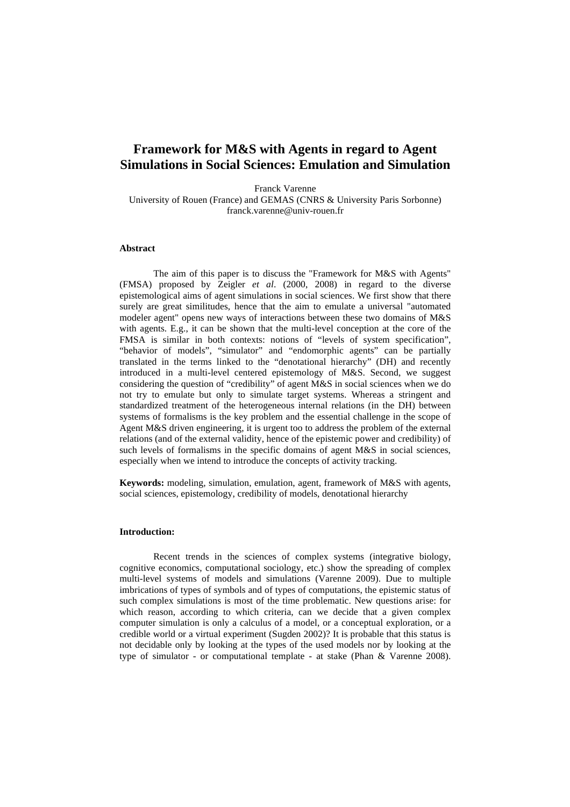# **Framework for M&S with Agents in regard to Agent Simulations in Social Sciences: Emulation and Simulation**

Franck Varenne University of Rouen (France) and GEMAS (CNRS & University Paris Sorbonne) franck.varenne@univ-rouen.fr

### **Abstract**

The aim of this paper is to discuss the "Framework for M&S with Agents" (FMSA) proposed by Zeigler *et al*. (2000, 2008) in regard to the diverse epistemological aims of agent simulations in social sciences. We first show that there surely are great similitudes, hence that the aim to emulate a universal "automated modeler agent" opens new ways of interactions between these two domains of M&S with agents. E.g., it can be shown that the multi-level conception at the core of the FMSA is similar in both contexts: notions of "levels of system specification", "behavior of models", "simulator" and "endomorphic agents" can be partially translated in the terms linked to the "denotational hierarchy" (DH) and recently introduced in a multi-level centered epistemology of M&S. Second, we suggest considering the question of "credibility" of agent M&S in social sciences when we do not try to emulate but only to simulate target systems. Whereas a stringent and standardized treatment of the heterogeneous internal relations (in the DH) between systems of formalisms is the key problem and the essential challenge in the scope of Agent M&S driven engineering, it is urgent too to address the problem of the external relations (and of the external validity, hence of the epistemic power and credibility) of such levels of formalisms in the specific domains of agent M&S in social sciences, especially when we intend to introduce the concepts of activity tracking.

**Keywords:** modeling, simulation, emulation, agent, framework of M&S with agents, social sciences, epistemology, credibility of models, denotational hierarchy

### **Introduction:**

 Recent trends in the sciences of complex systems (integrative biology, cognitive economics, computational sociology, etc.) show the spreading of complex multi-level systems of models and simulations (Varenne 2009). Due to multiple imbrications of types of symbols and of types of computations, the epistemic status of such complex simulations is most of the time problematic. New questions arise: for which reason, according to which criteria, can we decide that a given complex computer simulation is only a calculus of a model, or a conceptual exploration, or a credible world or a virtual experiment (Sugden 2002)? It is probable that this status is not decidable only by looking at the types of the used models nor by looking at the type of simulator - or computational template - at stake (Phan & Varenne 2008).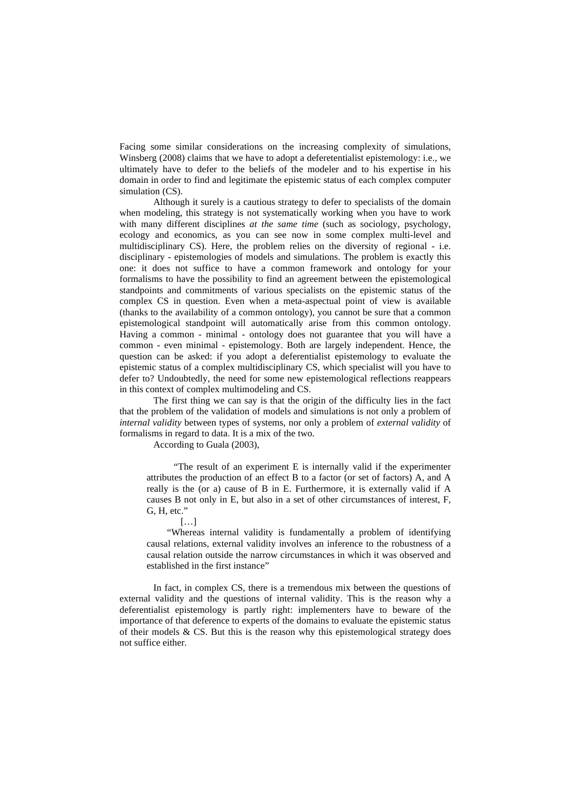Facing some similar considerations on the increasing complexity of simulations, Winsberg (2008) claims that we have to adopt a deferetentialist epistemology: i.e., we ultimately have to defer to the beliefs of the modeler and to his expertise in his domain in order to find and legitimate the epistemic status of each complex computer simulation (CS).

 Although it surely is a cautious strategy to defer to specialists of the domain when modeling, this strategy is not systematically working when you have to work with many different disciplines *at the same time* (such as sociology, psychology, ecology and economics, as you can see now in some complex multi-level and multidisciplinary CS). Here, the problem relies on the diversity of regional - i.e. disciplinary - epistemologies of models and simulations. The problem is exactly this one: it does not suffice to have a common framework and ontology for your formalisms to have the possibility to find an agreement between the epistemological standpoints and commitments of various specialists on the epistemic status of the complex CS in question. Even when a meta-aspectual point of view is available (thanks to the availability of a common ontology), you cannot be sure that a common epistemological standpoint will automatically arise from this common ontology. Having a common - minimal - ontology does not guarantee that you will have a common - even minimal - epistemology. Both are largely independent. Hence, the question can be asked: if you adopt a deferentialist epistemology to evaluate the epistemic status of a complex multidisciplinary CS, which specialist will you have to defer to? Undoubtedly, the need for some new epistemological reflections reappears in this context of complex multimodeling and CS.

The first thing we can say is that the origin of the difficulty lies in the fact that the problem of the validation of models and simulations is not only a problem of *internal validity* between types of systems, nor only a problem of *external validity* of formalisms in regard to data. It is a mix of the two.

According to Guala (2003),

"The result of an experiment E is internally valid if the experimenter attributes the production of an effect B to a factor (or set of factors) A, and A really is the (or a) cause of B in E. Furthermore, it is externally valid if A causes B not only in E, but also in a set of other circumstances of interest, F, G, H, etc."

 $[...]$ 

"Whereas internal validity is fundamentally a problem of identifying causal relations, external validity involves an inference to the robustness of a causal relation outside the narrow circumstances in which it was observed and established in the first instance"

In fact, in complex CS, there is a tremendous mix between the questions of external validity and the questions of internal validity. This is the reason why a deferentialist epistemology is partly right: implementers have to beware of the importance of that deference to experts of the domains to evaluate the epistemic status of their models  $& CS$ . But this is the reason why this epistemological strategy does not suffice either.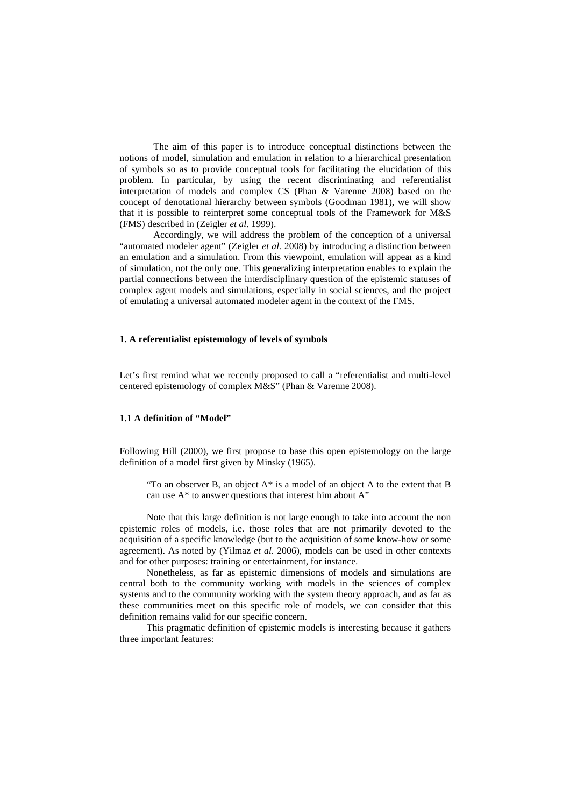The aim of this paper is to introduce conceptual distinctions between the notions of model, simulation and emulation in relation to a hierarchical presentation of symbols so as to provide conceptual tools for facilitating the elucidation of this problem. In particular, by using the recent discriminating and referentialist interpretation of models and complex CS (Phan & Varenne 2008) based on the concept of denotational hierarchy between symbols (Goodman 1981), we will show that it is possible to reinterpret some conceptual tools of the Framework for M&S (FMS) described in (Zeigler *et al*. 1999).

Accordingly, we will address the problem of the conception of a universal "automated modeler agent" (Zeigler *et al.* 2008) by introducing a distinction between an emulation and a simulation. From this viewpoint, emulation will appear as a kind of simulation, not the only one. This generalizing interpretation enables to explain the partial connections between the interdisciplinary question of the epistemic statuses of complex agent models and simulations, especially in social sciences, and the project of emulating a universal automated modeler agent in the context of the FMS.

#### **1. A referentialist epistemology of levels of symbols**

Let's first remind what we recently proposed to call a "referentialist and multi-level centered epistemology of complex M&S" (Phan & Varenne 2008).

# **1.1 A definition of "Model"**

Following Hill (2000), we first propose to base this open epistemology on the large definition of a model first given by Minsky (1965).

"To an observer B, an object A\* is a model of an object A to the extent that B can use A\* to answer questions that interest him about A"

Note that this large definition is not large enough to take into account the non epistemic roles of models, i.e. those roles that are not primarily devoted to the acquisition of a specific knowledge (but to the acquisition of some know-how or some agreement). As noted by (Yilmaz *et al*. 2006), models can be used in other contexts and for other purposes: training or entertainment, for instance.

Nonetheless, as far as epistemic dimensions of models and simulations are central both to the community working with models in the sciences of complex systems and to the community working with the system theory approach, and as far as these communities meet on this specific role of models, we can consider that this definition remains valid for our specific concern.

This pragmatic definition of epistemic models is interesting because it gathers three important features: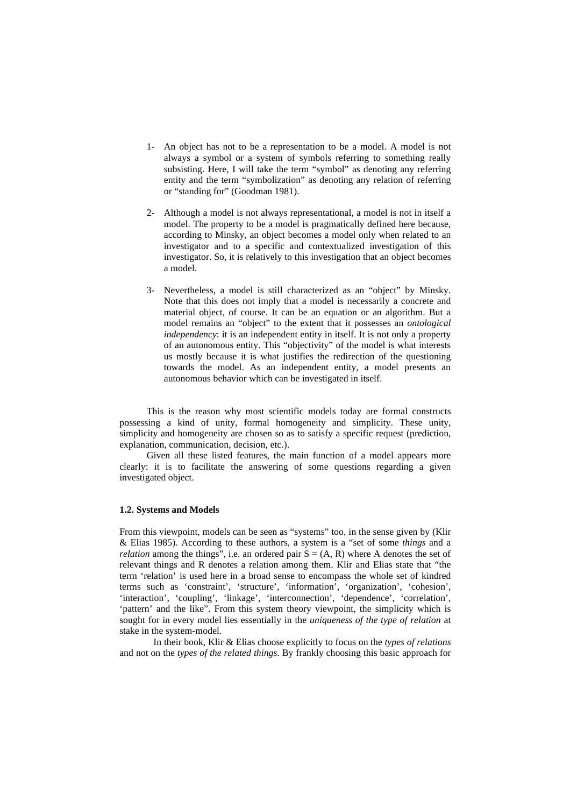- 1- An object has not to be a representation to be a model. A model is not always a symbol or a system of symbols referring to something really subsisting. Here, I will take the term "symbol" as denoting any referring entity and the term "symbolization" as denoting any relation of referring or "standing for" (Goodman 1981).
- 2- Although a model is not always representational, a model is not in itself a model. The property to be a model is pragmatically defined here because, according to Minsky, an object becomes a model only when related to an investigator and to a specific and contextualized investigation of this investigator. So, it is relatively to this investigation that an object becomes a model.
- 3- Nevertheless, a model is still characterized as an "object" by Minsky. Note that this does not imply that a model is necessarily a concrete and material object, of course. It can be an equation or an algorithm. But a model remains an "object" to the extent that it possesses an *ontological independency*: it is an independent entity in itself. It is not only a property of an autonomous entity. This "objectivity" of the model is what interests us mostly because it is what justifies the redirection of the questioning towards the model. As an independent entity, a model presents an autonomous behavior which can be investigated in itself.

This is the reason why most scientific models today are formal constructs possessing a kind of unity, formal homogeneity and simplicity. These unity, simplicity and homogeneity are chosen so as to satisfy a specific request (prediction, explanation, communication, decision, etc.).

Given all these listed features, the main function of a model appears more clearly: it is to facilitate the answering of some questions regarding a given investigated object.

### **1.2. Systems and Models**

From this viewpoint, models can be seen as "systems" too, in the sense given by (Klir & Elias 1985). According to these authors, a system is a "set of some *things* and a *relation* among the things", i.e. an ordered pair  $S = (A, R)$  where A denotes the set of relevant things and R denotes a relation among them. Klir and Elias state that "the term 'relation' is used here in a broad sense to encompass the whole set of kindred terms such as 'constraint', 'structure', 'information', 'organization', 'cohesion', 'interaction', 'coupling', 'linkage', 'interconnection', 'dependence', 'correlation', 'pattern' and the like". From this system theory viewpoint, the simplicity which is sought for in every model lies essentially in the *uniqueness of the type of relation* at stake in the system-model.

In their book, Klir & Elias choose explicitly to focus on the *types of relations* and not on the *types of the related things*. By frankly choosing this basic approach for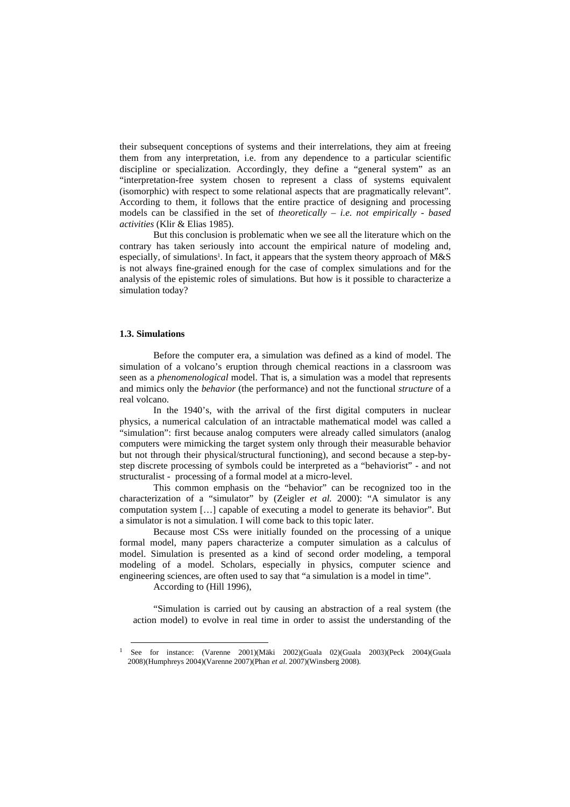their subsequent conceptions of systems and their interrelations, they aim at freeing them from any interpretation, i.e. from any dependence to a particular scientific discipline or specialization. Accordingly, they define a "general system" as an "interpretation-free system chosen to represent a class of systems equivalent (isomorphic) with respect to some relational aspects that are pragmatically relevant". According to them, it follows that the entire practice of designing and processing models can be classified in the set of *theoretically – i.e. not empirically - based activities* (Klir & Elias 1985).

But this conclusion is problematic when we see all the literature which on the contrary has taken seriously into account the empirical nature of modeling and, especially, of simulations<sup>1</sup>. In fact, it appears that the system theory approach of  $M&S$ is not always fine-grained enough for the case of complex simulations and for the analysis of the epistemic roles of simulations. But how is it possible to characterize a simulation today?

# **1.3. Simulations**

Before the computer era, a simulation was defined as a kind of model. The simulation of a volcano's eruption through chemical reactions in a classroom was seen as a *phenomenological* model. That is, a simulation was a model that represents and mimics only the *behavior* (the performance) and not the functional *structure* of a real volcano.

In the 1940's, with the arrival of the first digital computers in nuclear physics, a numerical calculation of an intractable mathematical model was called a "simulation": first because analog computers were already called simulators (analog computers were mimicking the target system only through their measurable behavior but not through their physical/structural functioning), and second because a step-bystep discrete processing of symbols could be interpreted as a "behaviorist" - and not structuralist - processing of a formal model at a micro-level.

This common emphasis on the "behavior" can be recognized too in the characterization of a "simulator" by (Zeigler *et al.* 2000): "A simulator is any computation system […] capable of executing a model to generate its behavior". But a simulator is not a simulation. I will come back to this topic later.

Because most CSs were initially founded on the processing of a unique formal model, many papers characterize a computer simulation as a calculus of model. Simulation is presented as a kind of second order modeling, a temporal modeling of a model. Scholars, especially in physics, computer science and engineering sciences, are often used to say that "a simulation is a model in time".

According to (Hill 1996),

 $\overline{a}$ 

"Simulation is carried out by causing an abstraction of a real system (the action model) to evolve in real time in order to assist the understanding of the

<sup>1</sup> See for instance: (Varenne 2001)(Mäki 2002)(Guala 02)(Guala 2003)(Peck 2004)(Guala 2008)(Humphreys 2004)(Varenne 2007)(Phan *et al*. 2007)(Winsberg 2008).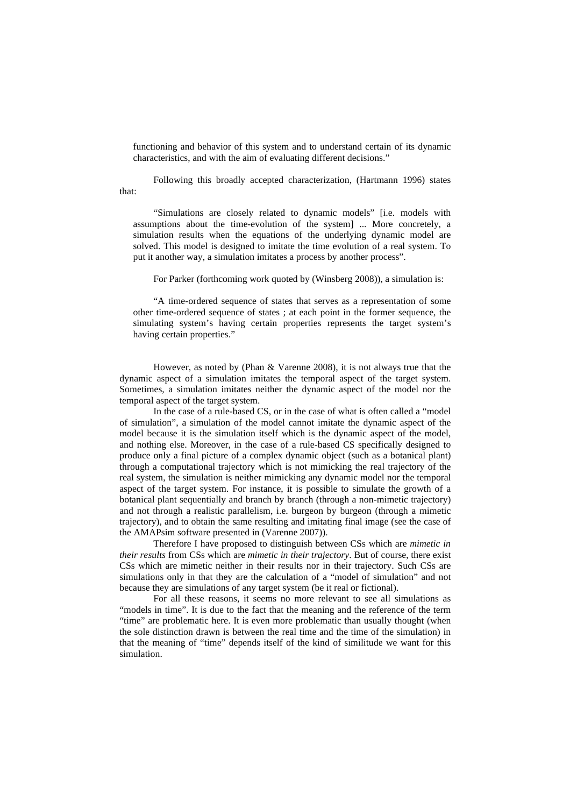functioning and behavior of this system and to understand certain of its dynamic characteristics, and with the aim of evaluating different decisions."

Following this broadly accepted characterization, (Hartmann 1996) states that:

"Simulations are closely related to dynamic models" [i.e. models with assumptions about the time-evolution of the system] ... More concretely, a simulation results when the equations of the underlying dynamic model are solved. This model is designed to imitate the time evolution of a real system. To put it another way, a simulation imitates a process by another process".

For Parker (forthcoming work quoted by (Winsberg 2008)), a simulation is:

"A time-ordered sequence of states that serves as a representation of some other time-ordered sequence of states ; at each point in the former sequence, the simulating system's having certain properties represents the target system's having certain properties."

However, as noted by (Phan & Varenne 2008), it is not always true that the dynamic aspect of a simulation imitates the temporal aspect of the target system. Sometimes, a simulation imitates neither the dynamic aspect of the model nor the temporal aspect of the target system.

In the case of a rule-based CS, or in the case of what is often called a "model of simulation", a simulation of the model cannot imitate the dynamic aspect of the model because it is the simulation itself which is the dynamic aspect of the model, and nothing else. Moreover, in the case of a rule-based CS specifically designed to produce only a final picture of a complex dynamic object (such as a botanical plant) through a computational trajectory which is not mimicking the real trajectory of the real system, the simulation is neither mimicking any dynamic model nor the temporal aspect of the target system. For instance, it is possible to simulate the growth of a botanical plant sequentially and branch by branch (through a non-mimetic trajectory) and not through a realistic parallelism, i.e. burgeon by burgeon (through a mimetic trajectory), and to obtain the same resulting and imitating final image (see the case of the AMAPsim software presented in (Varenne 2007)).

Therefore I have proposed to distinguish between CSs which are *mimetic in their results* from CSs which are *mimetic in their trajectory*. But of course, there exist CSs which are mimetic neither in their results nor in their trajectory. Such CSs are simulations only in that they are the calculation of a "model of simulation" and not because they are simulations of any target system (be it real or fictional).

For all these reasons, it seems no more relevant to see all simulations as "models in time". It is due to the fact that the meaning and the reference of the term "time" are problematic here. It is even more problematic than usually thought (when the sole distinction drawn is between the real time and the time of the simulation) in that the meaning of "time" depends itself of the kind of similitude we want for this simulation.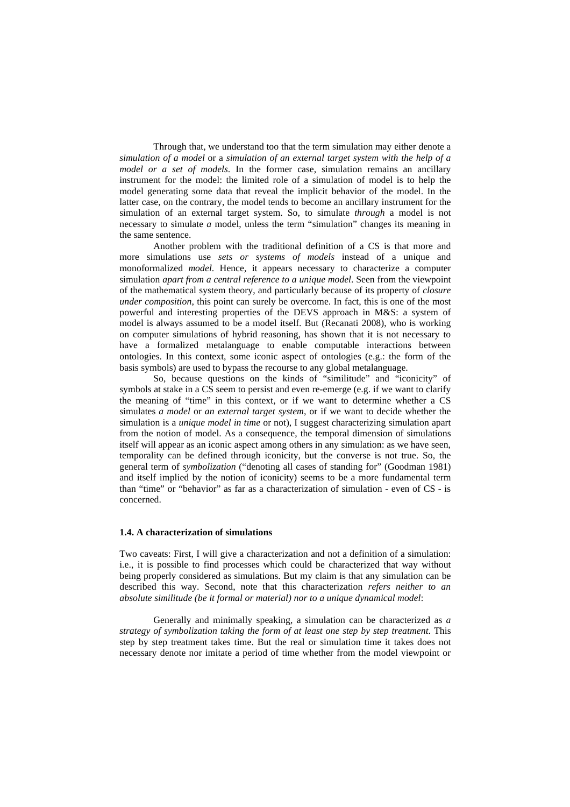Through that, we understand too that the term simulation may either denote a *simulation of a model* or a *simulation of an external target system with the help of a model or a set of models*. In the former case, simulation remains an ancillary instrument for the model: the limited role of a simulation of model is to help the model generating some data that reveal the implicit behavior of the model. In the latter case, on the contrary, the model tends to become an ancillary instrument for the simulation of an external target system. So, to simulate *through* a model is not necessary to simulate *a* model, unless the term "simulation" changes its meaning in the same sentence.

Another problem with the traditional definition of a CS is that more and more simulations use *sets or systems of models* instead of a unique and monoformalized *model*. Hence, it appears necessary to characterize a computer simulation *apart from a central reference to a unique model*. Seen from the viewpoint of the mathematical system theory, and particularly because of its property of *closure under composition*, this point can surely be overcome. In fact, this is one of the most powerful and interesting properties of the DEVS approach in M&S: a system of model is always assumed to be a model itself. But (Recanati 2008), who is working on computer simulations of hybrid reasoning, has shown that it is not necessary to have a formalized metalanguage to enable computable interactions between ontologies. In this context, some iconic aspect of ontologies (e.g.: the form of the basis symbols) are used to bypass the recourse to any global metalanguage.

So, because questions on the kinds of "similitude" and "iconicity" of symbols at stake in a CS seem to persist and even re-emerge (e.g. if we want to clarify the meaning of "time" in this context, or if we want to determine whether a CS simulates *a model* or *an external target system*, or if we want to decide whether the simulation is a *unique model in time* or not), I suggest characterizing simulation apart from the notion of model. As a consequence, the temporal dimension of simulations itself will appear as an iconic aspect among others in any simulation: as we have seen, temporality can be defined through iconicity, but the converse is not true. So, the general term of *symbolization* ("denoting all cases of standing for" (Goodman 1981) and itself implied by the notion of iconicity) seems to be a more fundamental term than "time" or "behavior" as far as a characterization of simulation - even of CS - is concerned.

#### **1.4. A characterization of simulations**

Two caveats: First, I will give a characterization and not a definition of a simulation: i.e., it is possible to find processes which could be characterized that way without being properly considered as simulations. But my claim is that any simulation can be described this way. Second, note that this characterization *refers neither to an absolute similitude (be it formal or material) nor to a unique dynamical model*:

Generally and minimally speaking, a simulation can be characterized as *a strategy of symbolization taking the form of at least one step by step treatment*. This step by step treatment takes time. But the real or simulation time it takes does not necessary denote nor imitate a period of time whether from the model viewpoint or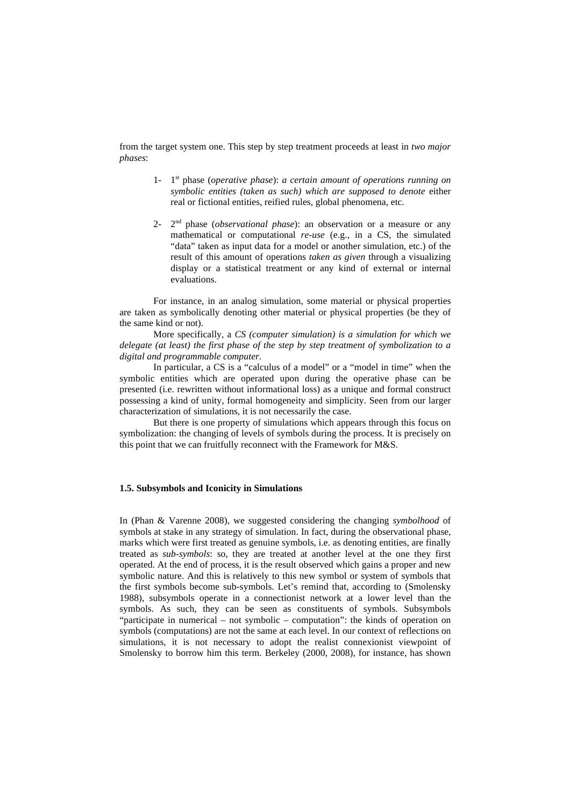from the target system one. This step by step treatment proceeds at least in *two major phases*:

- 1- 1 st phase (*operative phase*): *a certain amount of operations running on symbolic entities (taken as such) which are supposed to denote* either real or fictional entities, reified rules, global phenomena, etc.
- $2^{\text{-}}$  2<sup>nd</sup> phase (*observational phase*): an observation or a measure or any mathematical or computational *re-use* (e.g., in a CS, the simulated "data" taken as input data for a model or another simulation, etc.) of the result of this amount of operations *taken as given* through a visualizing display or a statistical treatment or any kind of external or internal evaluations.

For instance, in an analog simulation, some material or physical properties are taken as symbolically denoting other material or physical properties (be they of the same kind or not).

More specifically, a *CS (computer simulation) is a simulation for which we delegate (at least) the first phase of the step by step treatment of symbolization to a digital and programmable computer.*

In particular, a CS is a "calculus of a model" or a "model in time" when the symbolic entities which are operated upon during the operative phase can be presented (i.e. rewritten without informational loss) as a unique and formal construct possessing a kind of unity, formal homogeneity and simplicity. Seen from our larger characterization of simulations, it is not necessarily the case.

But there is one property of simulations which appears through this focus on symbolization: the changing of levels of symbols during the process. It is precisely on this point that we can fruitfully reconnect with the Framework for M&S.

# **1.5. Subsymbols and Iconicity in Simulations**

In (Phan & Varenne 2008), we suggested considering the changing *symbolhood* of symbols at stake in any strategy of simulation. In fact, during the observational phase, marks which were first treated as genuine symbols, i.e. as denoting entities, are finally treated as *sub-symbols*: so, they are treated at another level at the one they first operated. At the end of process, it is the result observed which gains a proper and new symbolic nature. And this is relatively to this new symbol or system of symbols that the first symbols become sub-symbols. Let's remind that, according to (Smolensky 1988), subsymbols operate in a connectionist network at a lower level than the symbols. As such, they can be seen as constituents of symbols. Subsymbols "participate in numerical – not symbolic – computation": the kinds of operation on symbols (computations) are not the same at each level. In our context of reflections on simulations, it is not necessary to adopt the realist connexionist viewpoint of Smolensky to borrow him this term. Berkeley (2000, 2008), for instance, has shown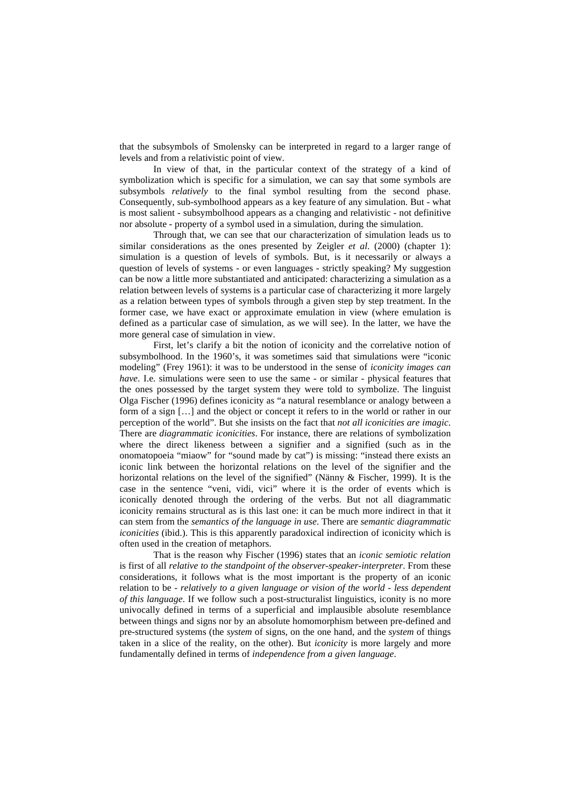that the subsymbols of Smolensky can be interpreted in regard to a larger range of levels and from a relativistic point of view.

In view of that, in the particular context of the strategy of a kind of symbolization which is specific for a simulation, we can say that some symbols are subsymbols *relatively* to the final symbol resulting from the second phase. Consequently, sub-symbolhood appears as a key feature of any simulation. But - what is most salient - subsymbolhood appears as a changing and relativistic - not definitive nor absolute - property of a symbol used in a simulation, during the simulation.

Through that, we can see that our characterization of simulation leads us to similar considerations as the ones presented by Zeigler *et al*. (2000) (chapter 1): simulation is a question of levels of symbols. But, is it necessarily or always a question of levels of systems - or even languages - strictly speaking? My suggestion can be now a little more substantiated and anticipated: characterizing a simulation as a relation between levels of systems is a particular case of characterizing it more largely as a relation between types of symbols through a given step by step treatment. In the former case, we have exact or approximate emulation in view (where emulation is defined as a particular case of simulation, as we will see). In the latter, we have the more general case of simulation in view.

First, let's clarify a bit the notion of iconicity and the correlative notion of subsymbolhood. In the 1960's, it was sometimes said that simulations were "iconic modeling" (Frey 1961): it was to be understood in the sense of *iconicity images can have*. I.e. simulations were seen to use the same - or similar - physical features that the ones possessed by the target system they were told to symbolize. The linguist Olga Fischer (1996) defines iconicity as "a natural resemblance or analogy between a form of a sign […] and the object or concept it refers to in the world or rather in our perception of the world". But she insists on the fact that *not all iconicities are imagic*. There are *diagrammatic iconicities*. For instance, there are relations of symbolization where the direct likeness between a signifier and a signified (such as in the onomatopoeia "miaow" for "sound made by cat") is missing: "instead there exists an iconic link between the horizontal relations on the level of the signifier and the horizontal relations on the level of the signified" (Nänny & Fischer, 1999). It is the case in the sentence "veni, vidi, vici" where it is the order of events which is iconically denoted through the ordering of the verbs. But not all diagrammatic iconicity remains structural as is this last one: it can be much more indirect in that it can stem from the *semantics of the language in use*. There are *semantic diagrammatic iconicities* (ibid.). This is this apparently paradoxical indirection of iconicity which is often used in the creation of metaphors.

That is the reason why Fischer (1996) states that an *iconic semiotic relation* is first of all *relative to the standpoint of the observer-speaker-interpreter*. From these considerations, it follows what is the most important is the property of an iconic relation to be - *relatively to a given language or vision of the world* - *less dependent of this language*. If we follow such a post-structuralist linguistics, iconity is no more univocally defined in terms of a superficial and implausible absolute resemblance between things and signs nor by an absolute homomorphism between pre-defined and pre-structured systems (the *system* of signs, on the one hand, and the *system* of things taken in a slice of the reality, on the other). But *iconicity* is more largely and more fundamentally defined in terms of *independence from a given language*.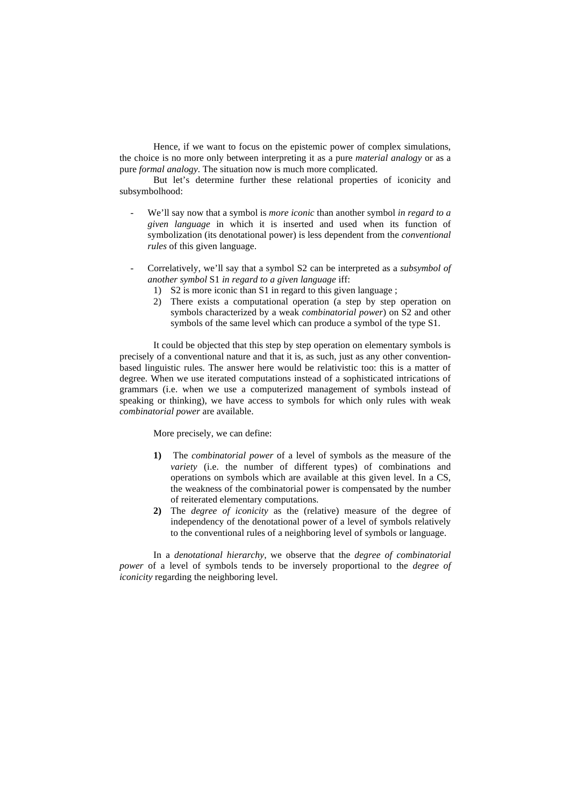Hence, if we want to focus on the epistemic power of complex simulations, the choice is no more only between interpreting it as a pure *material analogy* or as a pure *formal analogy*. The situation now is much more complicated.

But let's determine further these relational properties of iconicity and subsymbolhood:

- We'll say now that a symbol is *more iconic* than another symbol *in regard to a given language* in which it is inserted and used when its function of symbolization (its denotational power) is less dependent from the *conventional rules* of this given language.
- Correlatively, we'll say that a symbol S2 can be interpreted as a *subsymbol of another symbol* S1 *in regard to a given language* iff:
	- 1) S2 is more iconic than S1 in regard to this given language ;
	- 2) There exists a computational operation (a step by step operation on symbols characterized by a weak *combinatorial power*) on S2 and other symbols of the same level which can produce a symbol of the type S1.

It could be objected that this step by step operation on elementary symbols is precisely of a conventional nature and that it is, as such, just as any other conventionbased linguistic rules. The answer here would be relativistic too: this is a matter of degree. When we use iterated computations instead of a sophisticated intrications of grammars (i.e. when we use a computerized management of symbols instead of speaking or thinking), we have access to symbols for which only rules with weak *combinatorial power* are available.

More precisely, we can define:

- **1)** The *combinatorial power* of a level of symbols as the measure of the *variety* (i.e. the number of different types) of combinations and operations on symbols which are available at this given level. In a CS, the weakness of the combinatorial power is compensated by the number of reiterated elementary computations.
- **2)** The *degree of iconicity* as the (relative) measure of the degree of independency of the denotational power of a level of symbols relatively to the conventional rules of a neighboring level of symbols or language.

In a *denotational hierarchy*, we observe that the *degree of combinatorial power* of a level of symbols tends to be inversely proportional to the *degree of iconicity* regarding the neighboring level.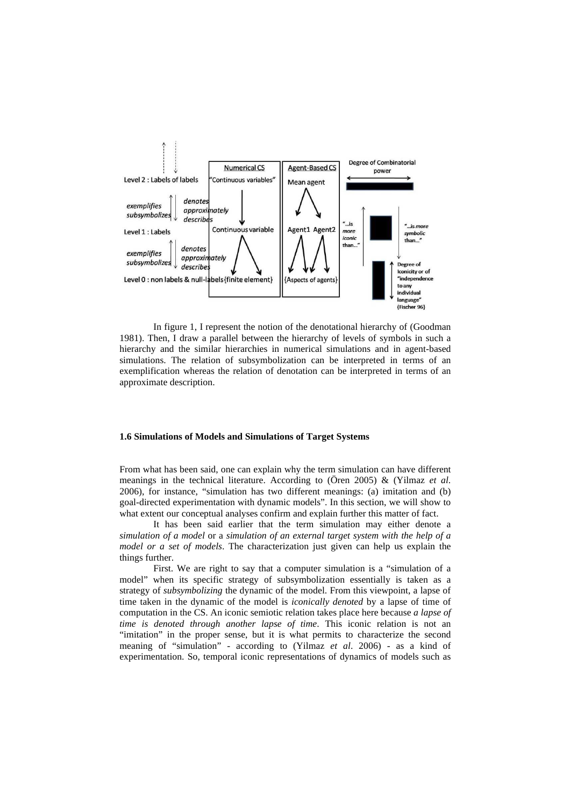

In figure 1, I represent the notion of the denotational hierarchy of (Goodman 1981). Then, I draw a parallel between the hierarchy of levels of symbols in such a hierarchy and the similar hierarchies in numerical simulations and in agent-based simulations. The relation of subsymbolization can be interpreted in terms of an exemplification whereas the relation of denotation can be interpreted in terms of an approximate description.

### **1.6 Simulations of Models and Simulations of Target Systems**

From what has been said, one can explain why the term simulation can have different meanings in the technical literature. According to (Ören 2005) & (Yilmaz *et al*. 2006), for instance, "simulation has two different meanings: (a) imitation and (b) goal-directed experimentation with dynamic models". In this section, we will show to what extent our conceptual analyses confirm and explain further this matter of fact.

 It has been said earlier that the term simulation may either denote a *simulation of a model* or a *simulation of an external target system with the help of a model or a set of models*. The characterization just given can help us explain the things further.

First. We are right to say that a computer simulation is a "simulation of a model" when its specific strategy of subsymbolization essentially is taken as a strategy of *subsymbolizing* the dynamic of the model. From this viewpoint, a lapse of time taken in the dynamic of the model is *iconically denoted* by a lapse of time of computation in the CS. An iconic semiotic relation takes place here because *a lapse of time is denoted through another lapse of time*. This iconic relation is not an "imitation" in the proper sense, but it is what permits to characterize the second meaning of "simulation" - according to (Yilmaz *et al*. 2006) - as a kind of experimentation. So, temporal iconic representations of dynamics of models such as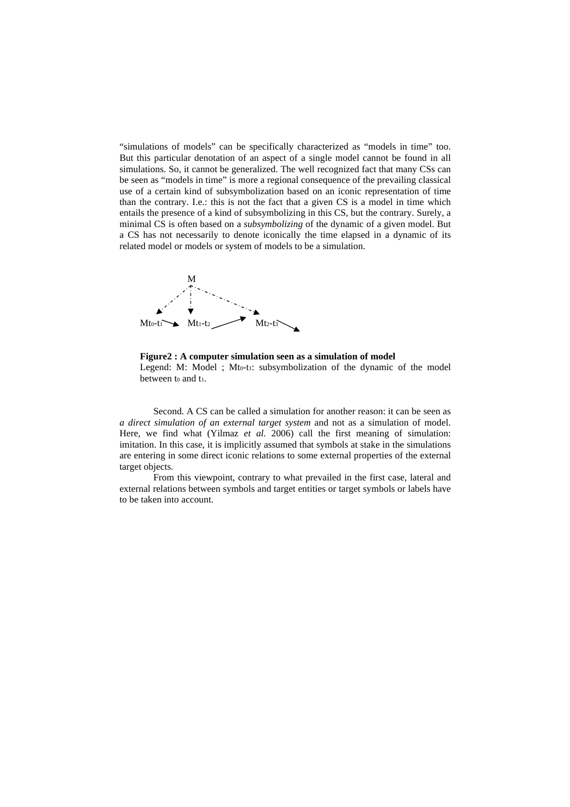"simulations of models" can be specifically characterized as "models in time" too. But this particular denotation of an aspect of a single model cannot be found in all simulations. So, it cannot be generalized. The well recognized fact that many CSs can be seen as "models in time" is more a regional consequence of the prevailing classical use of a certain kind of subsymbolization based on an iconic representation of time than the contrary. I.e.: this is not the fact that a given CS is a model in time which entails the presence of a kind of subsymbolizing in this CS, but the contrary. Surely, a minimal CS is often based on a *subsymbolizing* of the dynamic of a given model. But a CS has not necessarily to denote iconically the time elapsed in a dynamic of its related model or models or system of models to be a simulation.



**Figure2 : A computer simulation seen as a simulation of model** 

Legend: M: Model ; Mto-t1: subsymbolization of the dynamic of the model between to and t<sub>1</sub>.

Second. A CS can be called a simulation for another reason: it can be seen as *a direct simulation of an external target system* and not as a simulation of model. Here, we find what (Yilmaz *et al.* 2006) call the first meaning of simulation: imitation. In this case, it is implicitly assumed that symbols at stake in the simulations are entering in some direct iconic relations to some external properties of the external target objects.

From this viewpoint, contrary to what prevailed in the first case, lateral and external relations between symbols and target entities or target symbols or labels have to be taken into account.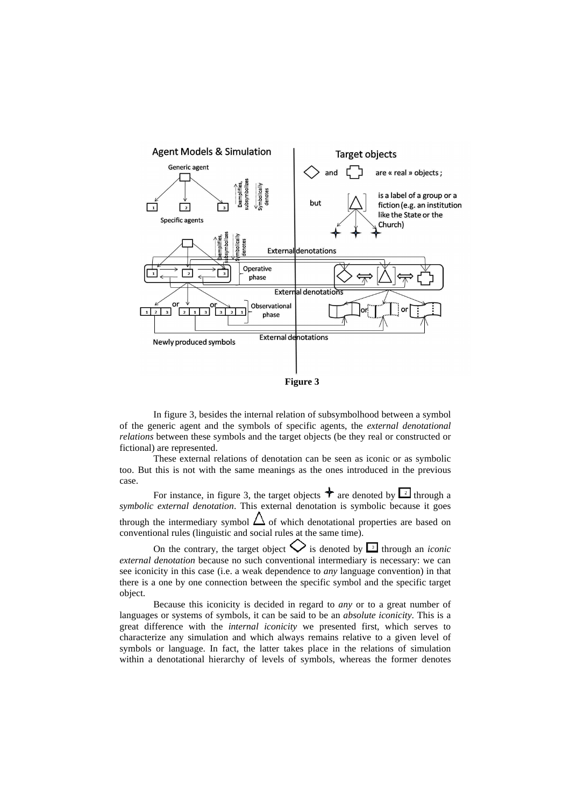

In figure 3, besides the internal relation of subsymbolhood between a symbol of the generic agent and the symbols of specific agents, the *external denotational relations* between these symbols and the target objects (be they real or constructed or fictional) are represented.

These external relations of denotation can be seen as iconic or as symbolic too. But this is not with the same meanings as the ones introduced in the previous case.

For instance, in figure 3, the target objects  $\triangleq$  are denoted by  $\boxed{2}$  through a *symbolic external denotation*. This external denotation is symbolic because it goes through the intermediary symbol  $\triangle$  of which denotational properties are based on conventional rules (linguistic and social rules at the same time).

On the contrary, the target object  $\bigvee$  is denoted by  $\Box$  through an *iconic external denotation* because no such conventional intermediary is necessary: we can see iconicity in this case (i.e. a weak dependence to *any* language convention) in that there is a one by one connection between the specific symbol and the specific target object.

Because this iconicity is decided in regard to *any* or to a great number of languages or systems of symbols, it can be said to be an *absolute iconicity*. This is a great difference with the *internal iconicity* we presented first, which serves to characterize any simulation and which always remains relative to a given level of symbols or language. In fact, the latter takes place in the relations of simulation within a denotational hierarchy of levels of symbols, whereas the former denotes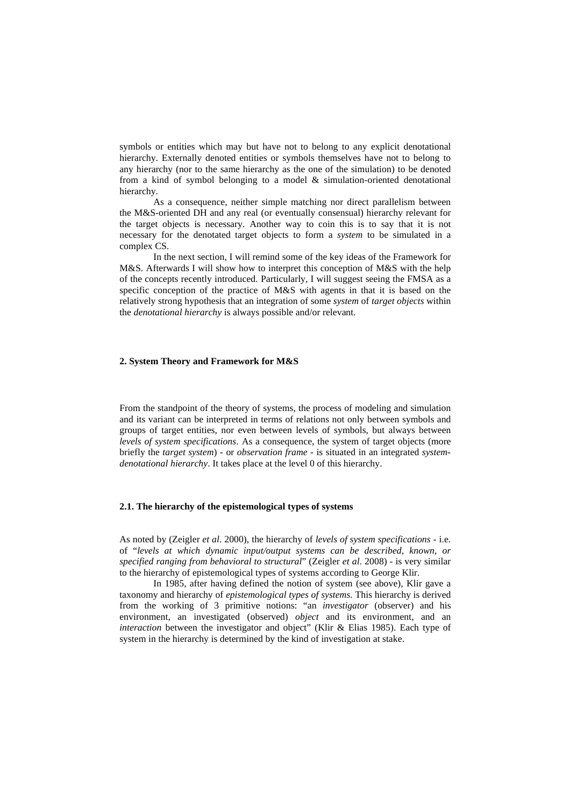symbols or entities which may but have not to belong to any explicit denotational hierarchy. Externally denoted entities or symbols themselves have not to belong to any hierarchy (nor to the same hierarchy as the one of the simulation) to be denoted from a kind of symbol belonging to a model & simulation-oriented denotational hierarchy.

As a consequence, neither simple matching nor direct parallelism between the M&S-oriented DH and any real (or eventually consensual) hierarchy relevant for the target objects is necessary. Another way to coin this is to say that it is not necessary for the denotated target objects to form a *system* to be simulated in a complex CS.

In the next section, I will remind some of the key ideas of the Framework for M&S. Afterwards I will show how to interpret this conception of M&S with the help of the concepts recently introduced. Particularly, I will suggest seeing the FMSA as a specific conception of the practice of M&S with agents in that it is based on the relatively strong hypothesis that an integration of some *system* of *target objects* within the *denotational hierarchy* is always possible and/or relevant.

# **2. System Theory and Framework for M&S**

From the standpoint of the theory of systems, the process of modeling and simulation and its variant can be interpreted in terms of relations not only between symbols and groups of target entities, nor even between levels of symbols, but always between *levels of system specifications.* As a consequence, the system of target objects (more briefly the *target system*) - or *observation frame* - is situated in an integrated *systemdenotational hierarchy*. It takes place at the level 0 of this hierarchy.

### **2.1. The hierarchy of the epistemological types of systems**

As noted by (Zeigler *et al*. 2000), the hierarchy of *levels of system specifications* - i.e. of "*levels at which dynamic input/output systems can be described, known, or specified ranging from behavioral to structural*" (Zeigler *et al*. 2008) - is very similar to the hierarchy of epistemological types of systems according to George Klir.

In 1985, after having defined the notion of system (see above), Klir gave a taxonomy and hierarchy of *epistemological types of systems*. This hierarchy is derived from the working of 3 primitive notions: "an *investigator* (observer) and his environment, an investigated (observed) *object* and its environment, and an *interaction* between the investigator and object" (Klir & Elias 1985). Each type of system in the hierarchy is determined by the kind of investigation at stake.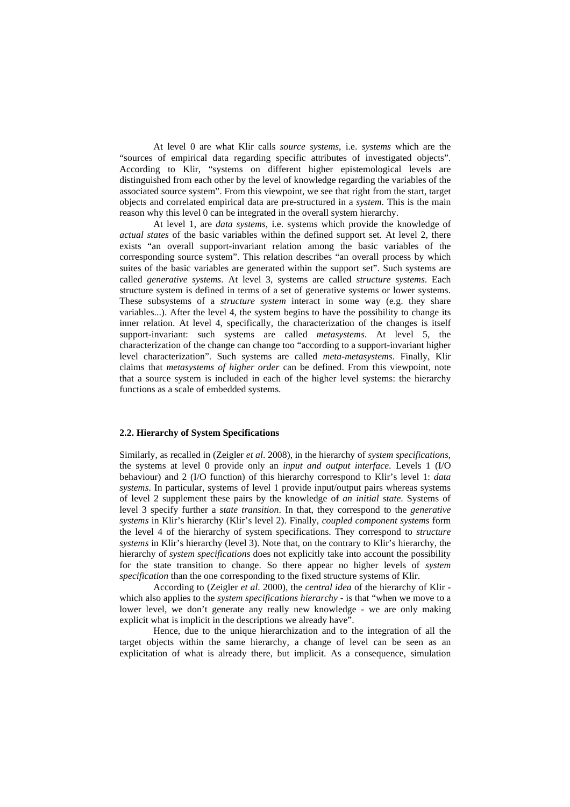At level 0 are what Klir calls *source systems*, i.e. *systems* which are the "sources of empirical data regarding specific attributes of investigated objects". According to Klir, "systems on different higher epistemological levels are distinguished from each other by the level of knowledge regarding the variables of the associated source system". From this viewpoint, we see that right from the start, target objects and correlated empirical data are pre-structured in a *system*. This is the main reason why this level 0 can be integrated in the overall system hierarchy.

At level 1, are *data systems*, i.e. systems which provide the knowledge of *actual states* of the basic variables within the defined support set. At level 2, there exists "an overall support-invariant relation among the basic variables of the corresponding source system". This relation describes "an overall process by which suites of the basic variables are generated within the support set". Such systems are called *generative systems*. At level 3, systems are called *structure systems*. Each structure system is defined in terms of a set of generative systems or lower systems. These subsystems of a *structure system* interact in some way (e.g. they share variables...). After the level 4, the system begins to have the possibility to change its inner relation. At level 4, specifically, the characterization of the changes is itself support-invariant: such systems are called *metasystems*. At level 5, the characterization of the change can change too "according to a support-invariant higher level characterization". Such systems are called *meta-metasystems*. Finally, Klir claims that *metasystems of higher order* can be defined. From this viewpoint, note that a source system is included in each of the higher level systems: the hierarchy functions as a scale of embedded systems.

#### **2.2. Hierarchy of System Specifications**

Similarly, as recalled in (Zeigler *et al*. 2008), in the hierarchy of *system specifications*, the systems at level 0 provide only an *input and output interface*. Levels 1 (I/O behaviour) and 2 (I/O function) of this hierarchy correspond to Klir's level 1: *data systems*. In particular, systems of level 1 provide input/output pairs whereas systems of level 2 supplement these pairs by the knowledge of *an initial state*. Systems of level 3 specify further a *state transition*. In that, they correspond to the *generative systems* in Klir's hierarchy (Klir's level 2). Finally, *coupled component systems* form the level 4 of the hierarchy of system specifications. They correspond to *structure systems* in Klir's hierarchy (level 3). Note that, on the contrary to Klir's hierarchy, the hierarchy of *system specifications* does not explicitly take into account the possibility for the state transition to change. So there appear no higher levels of *system specification* than the one corresponding to the fixed structure systems of Klir.

According to (Zeigler *et al*. 2000), the *central idea* of the hierarchy of Klir which also applies to the *system specifications hierarchy* - is that "when we move to a lower level, we don't generate any really new knowledge - we are only making explicit what is implicit in the descriptions we already have".

Hence, due to the unique hierarchization and to the integration of all the target objects within the same hierarchy, a change of level can be seen as an explicitation of what is already there, but implicit. As a consequence, simulation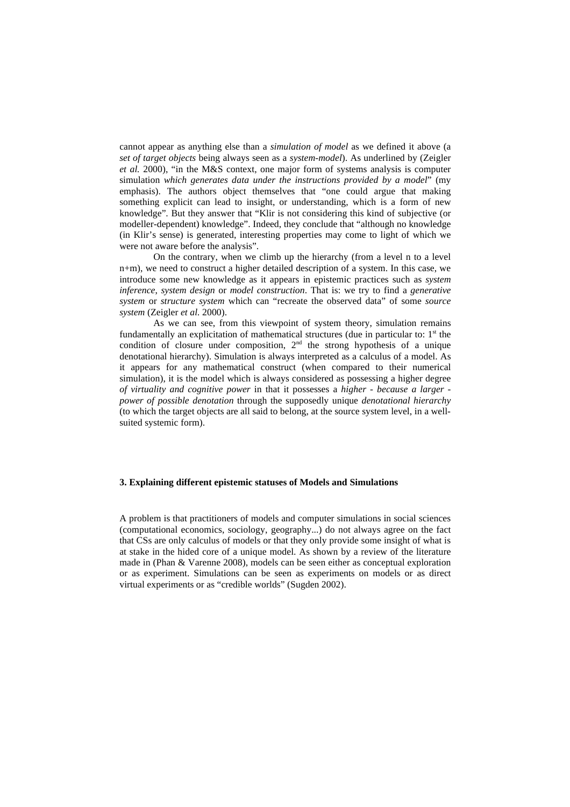cannot appear as anything else than a *simulation of model* as we defined it above (a *set of target objects* being always seen as a *system-model*). As underlined by (Zeigler *et al.* 2000), "in the M&S context, one major form of systems analysis is computer simulation *which generates data under the instructions provided by a model*" (my emphasis). The authors object themselves that "one could argue that making something explicit can lead to insight, or understanding, which is a form of new knowledge". But they answer that "Klir is not considering this kind of subjective (or modeller-dependent) knowledge". Indeed, they conclude that "although no knowledge (in Klir's sense) is generated, interesting properties may come to light of which we were not aware before the analysis".

On the contrary, when we climb up the hierarchy (from a level n to a level n+m), we need to construct a higher detailed description of a system. In this case, we introduce some new knowledge as it appears in epistemic practices such as *system inference*, *system design* or *model construction*. That is: we try to find a *generative system* or *structure system* which can "recreate the observed data" of some *source system* (Zeigler *et al.* 2000).

As we can see, from this viewpoint of system theory, simulation remains fundamentally an explicitation of mathematical structures (due in particular to:  $1<sup>st</sup>$  the condition of closure under composition,  $2<sup>nd</sup>$  the strong hypothesis of a unique denotational hierarchy). Simulation is always interpreted as a calculus of a model. As it appears for any mathematical construct (when compared to their numerical simulation), it is the model which is always considered as possessing a higher degree *of virtuality and cognitive power* in that it possesses a *higher - because a larger power of possible denotation* through the supposedly unique *denotational hierarchy* (to which the target objects are all said to belong, at the source system level, in a wellsuited systemic form).

#### **3. Explaining different epistemic statuses of Models and Simulations**

A problem is that practitioners of models and computer simulations in social sciences (computational economics, sociology, geography...) do not always agree on the fact that CSs are only calculus of models or that they only provide some insight of what is at stake in the hided core of a unique model. As shown by a review of the literature made in (Phan & Varenne 2008), models can be seen either as conceptual exploration or as experiment. Simulations can be seen as experiments on models or as direct virtual experiments or as "credible worlds" (Sugden 2002).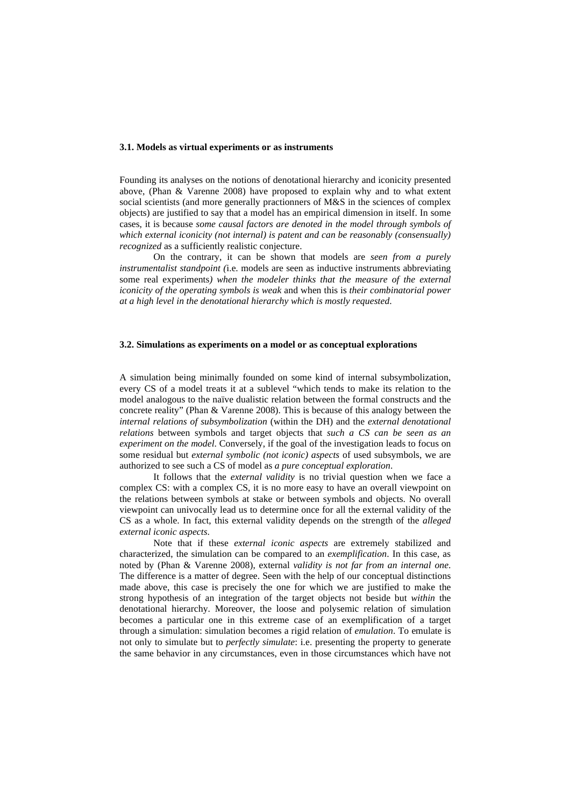#### **3.1. Models as virtual experiments or as instruments**

Founding its analyses on the notions of denotational hierarchy and iconicity presented above, (Phan & Varenne 2008) have proposed to explain why and to what extent social scientists (and more generally practionners of M&S in the sciences of complex objects) are justified to say that a model has an empirical dimension in itself. In some cases, it is because *some causal factors are denoted in the model through symbols of which external iconicity (not internal) is patent and can be reasonably (consensually) recognized* as a sufficiently realistic conjecture.

On the contrary, it can be shown that models are *seen from a purely instrumentalist standpoint (*i.e. models are seen as inductive instruments abbreviating some real experiments*) when the modeler thinks that the measure of the external iconicity of the operating symbols is weak* and when this is *their combinatorial power at a high level in the denotational hierarchy which is mostly requested*.

#### **3.2. Simulations as experiments on a model or as conceptual explorations**

A simulation being minimally founded on some kind of internal subsymbolization, every CS of a model treats it at a sublevel "which tends to make its relation to the model analogous to the naïve dualistic relation between the formal constructs and the concrete reality" (Phan & Varenne 2008). This is because of this analogy between the *internal relations of subsymbolization* (within the DH) and the *external denotational relations* between symbols and target objects that *such a CS can be seen as an experiment on the model*. Conversely, if the goal of the investigation leads to focus on some residual but *external symbolic (not iconic) aspects* of used subsymbols, we are authorized to see such a CS of model as *a pure conceptual exploration*.

It follows that the *external validity* is no trivial question when we face a complex CS: with a complex CS, it is no more easy to have an overall viewpoint on the relations between symbols at stake or between symbols and objects. No overall viewpoint can univocally lead us to determine once for all the external validity of the CS as a whole. In fact, this external validity depends on the strength of the *alleged external iconic aspects*.

Note that if these *external iconic aspects* are extremely stabilized and characterized, the simulation can be compared to an *exemplification*. In this case, as noted by (Phan & Varenne 2008), external *validity is not far from an internal one*. The difference is a matter of degree. Seen with the help of our conceptual distinctions made above, this case is precisely the one for which we are justified to make the strong hypothesis of an integration of the target objects not beside but *within* the denotational hierarchy. Moreover, the loose and polysemic relation of simulation becomes a particular one in this extreme case of an exemplification of a target through a simulation: simulation becomes a rigid relation of *emulation*. To emulate is not only to simulate but to *perfectly simulate*: i.e. presenting the property to generate the same behavior in any circumstances, even in those circumstances which have not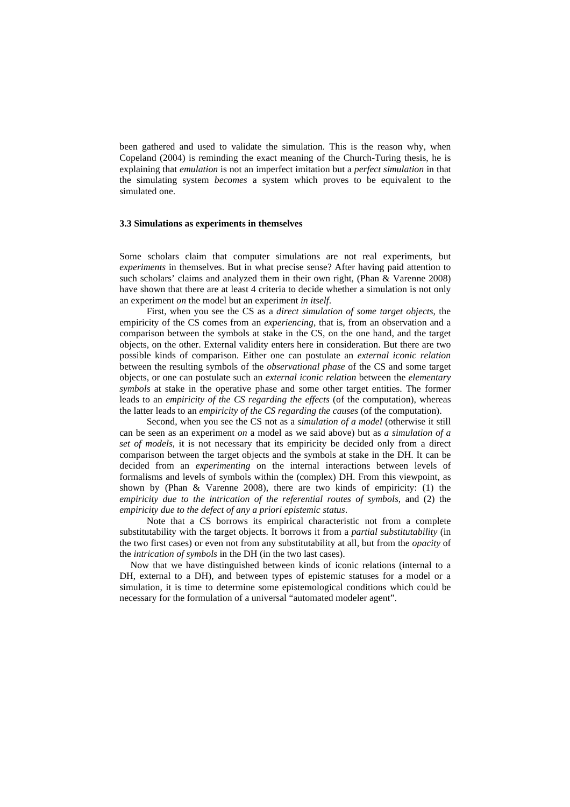been gathered and used to validate the simulation. This is the reason why, when Copeland (2004) is reminding the exact meaning of the Church-Turing thesis, he is explaining that *emulation* is not an imperfect imitation but a *perfect simulation* in that the simulating system *becomes* a system which proves to be equivalent to the simulated one.

#### **3.3 Simulations as experiments in themselves**

Some scholars claim that computer simulations are not real experiments, but *experiments* in themselves. But in what precise sense? After having paid attention to such scholars' claims and analyzed them in their own right, (Phan & Varenne 2008) have shown that there are at least 4 criteria to decide whether a simulation is not only an experiment *on* the model but an experiment *in itself*.

First, when you see the CS as a *direct simulation of some target objects*, the empiricity of the CS comes from an *experiencing*, that is, from an observation and a comparison between the symbols at stake in the CS, on the one hand, and the target objects, on the other. External validity enters here in consideration. But there are two possible kinds of comparison. Either one can postulate an *external iconic relation* between the resulting symbols of the *observational phase* of the CS and some target objects, or one can postulate such an *external iconic relation* between the *elementary symbols* at stake in the operative phase and some other target entities. The former leads to an *empiricity of the CS regarding the effects* (of the computation), whereas the latter leads to an *empiricity of the CS regarding the causes* (of the computation).

Second, when you see the CS not as a *simulation of a model* (otherwise it still can be seen as an experiment *on* a model as we said above) but as *a simulation of a set of models*, it is not necessary that its empiricity be decided only from a direct comparison between the target objects and the symbols at stake in the DH. It can be decided from an *experimenting* on the internal interactions between levels of formalisms and levels of symbols within the (complex) DH. From this viewpoint, as shown by (Phan & Varenne 2008), there are two kinds of empiricity: (1) the *empiricity due to the intrication of the referential routes of symbols*, and (2) the *empiricity due to the defect of any a priori epistemic status*.

Note that a CS borrows its empirical characteristic not from a complete substitutability with the target objects. It borrows it from a *partial substitutability* (in the two first cases) or even not from any substitutability at all, but from the *opacity* of the *intrication of symbols* in the DH (in the two last cases).

Now that we have distinguished between kinds of iconic relations (internal to a DH, external to a DH), and between types of epistemic statuses for a model or a simulation, it is time to determine some epistemological conditions which could be necessary for the formulation of a universal "automated modeler agent".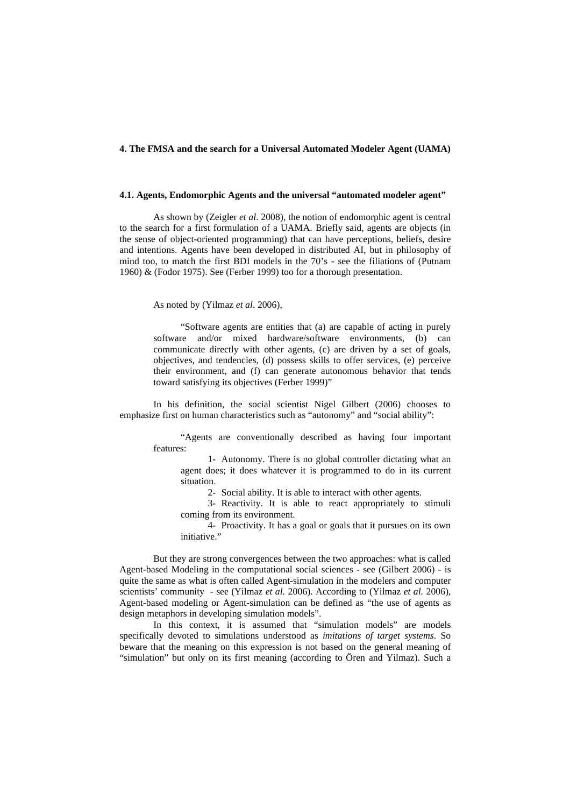### **4. The FMSA and the search for a Universal Automated Modeler Agent (UAMA)**

### **4.1. Agents, Endomorphic Agents and the universal "automated modeler agent"**

As shown by (Zeigler *et al*. 2008), the notion of endomorphic agent is central to the search for a first formulation of a UAMA. Briefly said, agents are objects (in the sense of object-oriented programming) that can have perceptions, beliefs, desire and intentions. Agents have been developed in distributed AI, but in philosophy of mind too, to match the first BDI models in the 70's - see the filiations of (Putnam 1960) & (Fodor 1975). See (Ferber 1999) too for a thorough presentation.

As noted by (Yilmaz *et al*. 2006),

"Software agents are entities that (a) are capable of acting in purely software and/or mixed hardware/software environments, (b) can communicate directly with other agents, (c) are driven by a set of goals, objectives, and tendencies, (d) possess skills to offer services, (e) perceive their environment, and (f) can generate autonomous behavior that tends toward satisfying its objectives (Ferber 1999)"

 In his definition, the social scientist Nigel Gilbert (2006) chooses to emphasize first on human characteristics such as "autonomy" and "social ability":

> "Agents are conventionally described as having four important features:

1- Autonomy. There is no global controller dictating what an agent does; it does whatever it is programmed to do in its current situation.

2- Social ability. It is able to interact with other agents.

3- Reactivity. It is able to react appropriately to stimuli coming from its environment.

4- Proactivity. It has a goal or goals that it pursues on its own initiative."

But they are strong convergences between the two approaches: what is called Agent-based Modeling in the computational social sciences - see (Gilbert 2006) - is quite the same as what is often called Agent-simulation in the modelers and computer scientists' community - see (Yilmaz *et al.* 2006). According to (Yilmaz *et al.* 2006), Agent-based modeling or Agent-simulation can be defined as "the use of agents as design metaphors in developing simulation models".

In this context, it is assumed that "simulation models" are models specifically devoted to simulations understood as *imitations of target systems*. So beware that the meaning on this expression is not based on the general meaning of "simulation" but only on its first meaning (according to Ören and Yilmaz). Such a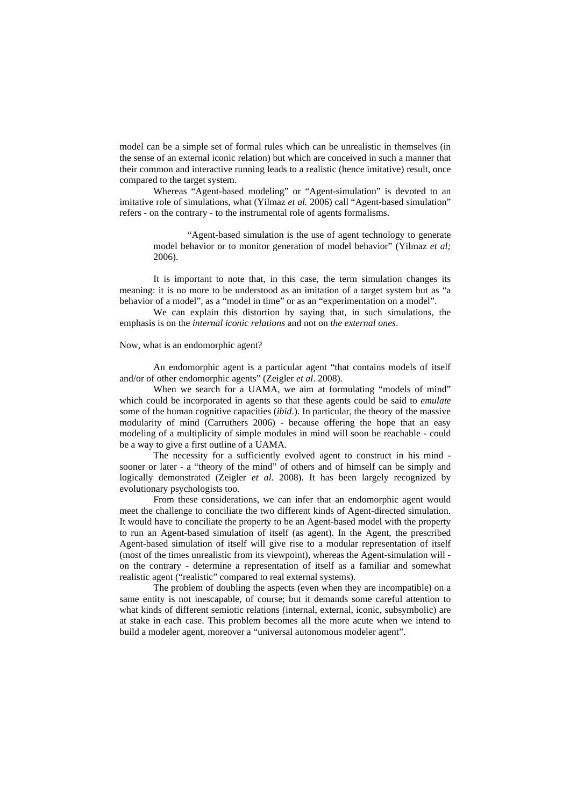model can be a simple set of formal rules which can be unrealistic in themselves (in the sense of an external iconic relation) but which are conceived in such a manner that their common and interactive running leads to a realistic (hence imitative) result, once compared to the target system.

Whereas "Agent-based modeling" or "Agent-simulation" is devoted to an imitative role of simulations, what (Yilmaz *et al.* 2006) call "Agent-based simulation" refers - on the contrary - to the instrumental role of agents formalisms.

> "Agent-based simulation is the use of agent technology to generate model behavior or to monitor generation of model behavior" (Yilmaz *et al;*  2006).

 It is important to note that, in this case, the term simulation changes its meaning: it is no more to be understood as an imitation of a target system but as "a behavior of a model", as a "model in time" or as an "experimentation on a model".

 We can explain this distortion by saying that, in such simulations, the emphasis is on the *internal iconic relations* and not on *the external ones*.

#### Now, what is an endomorphic agent?

An endomorphic agent is a particular agent "that contains models of itself and/or of other endomorphic agents" (Zeigler *et al*. 2008).

When we search for a UAMA, we aim at formulating "models of mind" which could be incorporated in agents so that these agents could be said to *emulate* some of the human cognitive capacities (*ibid*.). In particular, the theory of the massive modularity of mind (Carruthers 2006) - because offering the hope that an easy modeling of a multiplicity of simple modules in mind will soon be reachable - could be a way to give a first outline of a UAMA.

The necessity for a sufficiently evolved agent to construct in his mind sooner or later - a "theory of the mind" of others and of himself can be simply and logically demonstrated (Zeigler *et al.* 2008). It has been largely recognized by evolutionary psychologists too.

From these considerations, we can infer that an endomorphic agent would meet the challenge to conciliate the two different kinds of Agent-directed simulation. It would have to conciliate the property to be an Agent-based model with the property to run an Agent-based simulation of itself (as agent). In the Agent, the prescribed Agent-based simulation of itself will give rise to a modular representation of itself (most of the times unrealistic from its viewpoint), whereas the Agent-simulation will on the contrary - determine a representation of itself as a familiar and somewhat realistic agent ("realistic" compared to real external systems).

The problem of doubling the aspects (even when they are incompatible) on a same entity is not inescapable, of course; but it demands some careful attention to what kinds of different semiotic relations (internal, external, iconic, subsymbolic) are at stake in each case. This problem becomes all the more acute when we intend to build a modeler agent, moreover a "universal autonomous modeler agent".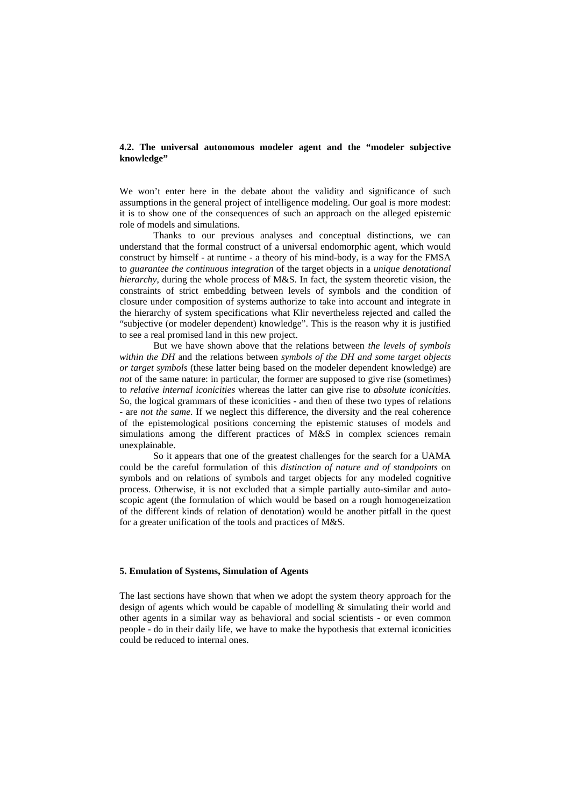# **4.2. The universal autonomous modeler agent and the "modeler subjective knowledge"**

We won't enter here in the debate about the validity and significance of such assumptions in the general project of intelligence modeling. Our goal is more modest: it is to show one of the consequences of such an approach on the alleged epistemic role of models and simulations.

 Thanks to our previous analyses and conceptual distinctions, we can understand that the formal construct of a universal endomorphic agent, which would construct by himself - at runtime - a theory of his mind-body, is a way for the FMSA to *guarantee the continuous integration* of the target objects in a *unique denotational hierarchy*, during the whole process of M&S. In fact, the system theoretic vision, the constraints of strict embedding between levels of symbols and the condition of closure under composition of systems authorize to take into account and integrate in the hierarchy of system specifications what Klir nevertheless rejected and called the "subjective (or modeler dependent) knowledge". This is the reason why it is justified to see a real promised land in this new project.

But we have shown above that the relations between *the levels of symbols within the DH* and the relations between *symbols of the DH and some target objects or target symbols* (these latter being based on the modeler dependent knowledge) are *not* of the same nature: in particular, the former are supposed to give rise (sometimes) to *relative internal iconicities* whereas the latter can give rise to *absolute iconicities*. So, the logical grammars of these iconicities - and then of these two types of relations - are *not the same*. If we neglect this difference, the diversity and the real coherence of the epistemological positions concerning the epistemic statuses of models and simulations among the different practices of M&S in complex sciences remain unexplainable.

So it appears that one of the greatest challenges for the search for a UAMA could be the careful formulation of this *distinction of nature and of standpoints* on symbols and on relations of symbols and target objects for any modeled cognitive process. Otherwise, it is not excluded that a simple partially auto-similar and autoscopic agent (the formulation of which would be based on a rough homogeneization of the different kinds of relation of denotation) would be another pitfall in the quest for a greater unification of the tools and practices of M&S.

# **5. Emulation of Systems, Simulation of Agents**

The last sections have shown that when we adopt the system theory approach for the design of agents which would be capable of modelling & simulating their world and other agents in a similar way as behavioral and social scientists - or even common people - do in their daily life, we have to make the hypothesis that external iconicities could be reduced to internal ones.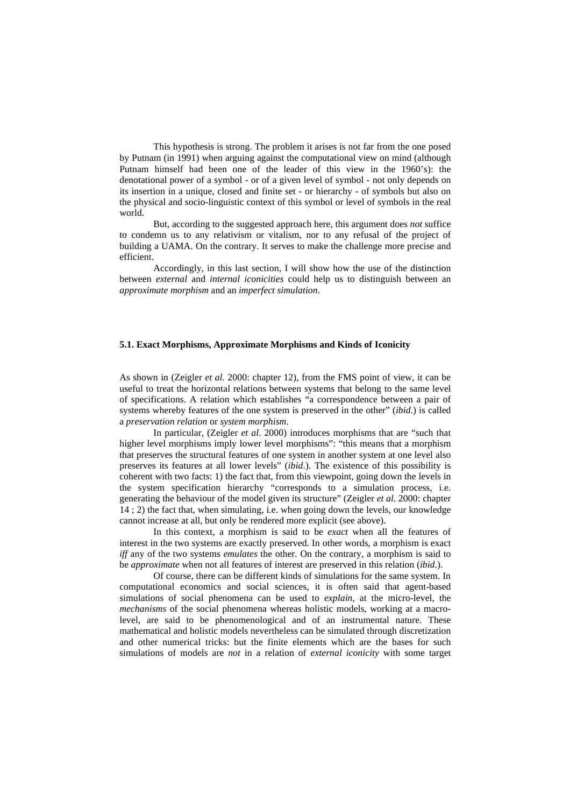This hypothesis is strong. The problem it arises is not far from the one posed by Putnam (in 1991) when arguing against the computational view on mind (although Putnam himself had been one of the leader of this view in the 1960's): the denotational power of a symbol - or of a given level of symbol - not only depends on its insertion in a unique, closed and finite set - or hierarchy - of symbols but also on the physical and socio-linguistic context of this symbol or level of symbols in the real world.

But, according to the suggested approach here, this argument does *not* suffice to condemn us to any relativism or vitalism, nor to any refusal of the project of building a UAMA. On the contrary. It serves to make the challenge more precise and efficient.

Accordingly, in this last section, I will show how the use of the distinction between *external* and *internal iconicities* could help us to distinguish between an *approximate morphism* and an *imperfect simulation*.

### **5.1. Exact Morphisms, Approximate Morphisms and Kinds of Iconicity**

As shown in (Zeigler *et al*. 2000: chapter 12), from the FMS point of view, it can be useful to treat the horizontal relations between systems that belong to the same level of specifications. A relation which establishes "a correspondence between a pair of systems whereby features of the one system is preserved in the other" (*ibid*.) is called a *preservation relation* or *system morphism*.

 In particular, (Zeigler *et al*. 2000) introduces morphisms that are "such that higher level morphisms imply lower level morphisms": "this means that a morphism that preserves the structural features of one system in another system at one level also preserves its features at all lower levels" (*ibid*.). The existence of this possibility is coherent with two facts: 1) the fact that, from this viewpoint, going down the levels in the system specification hierarchy "corresponds to a simulation process, i.e. generating the behaviour of the model given its structure" (Zeigler *et al*. 2000: chapter 14 ; 2) the fact that, when simulating, i.e. when going down the levels, our knowledge cannot increase at all, but only be rendered more explicit (see above).

In this context, a morphism is said to be *exact* when all the features of interest in the two systems are exactly preserved. In other words, a morphism is exact *iff* any of the two systems *emulates* the other. On the contrary, a morphism is said to be *approximate* when not all features of interest are preserved in this relation (*ibid*.).

 Of course, there can be different kinds of simulations for the same system. In computational economics and social sciences, it is often said that agent-based simulations of social phenomena can be used to *explain*, at the micro-level, the *mechanisms* of the social phenomena whereas holistic models, working at a macrolevel, are said to be phenomenological and of an instrumental nature. These mathematical and holistic models nevertheless can be simulated through discretization and other numerical tricks: but the finite elements which are the bases for such simulations of models are *not* in a relation of *external iconicity* with some target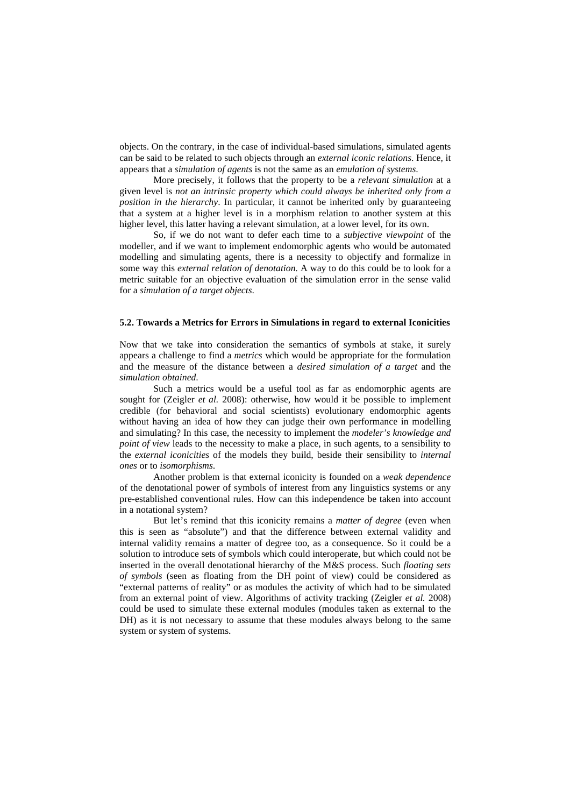objects. On the contrary, in the case of individual-based simulations, simulated agents can be said to be related to such objects through an *external iconic relations*. Hence, it appears that a *simulation of agents* is not the same as an *emulation of systems*.

More precisely, it follows that the property to be a *relevant simulation* at a given level is *not an intrinsic property which could always be inherited only from a position in the hierarchy*. In particular, it cannot be inherited only by guaranteeing that a system at a higher level is in a morphism relation to another system at this higher level, this latter having a relevant simulation, at a lower level, for its own.

So, if we do not want to defer each time to a *subjective viewpoint* of the modeller, and if we want to implement endomorphic agents who would be automated modelling and simulating agents, there is a necessity to objectify and formalize in some way this *external relation of denotation.* A way to do this could be to look for a metric suitable for an objective evaluation of the simulation error in the sense valid for a *simulation of a target objects*.

### **5.2. Towards a Metrics for Errors in Simulations in regard to external Iconicities**

Now that we take into consideration the semantics of symbols at stake, it surely appears a challenge to find a *metrics* which would be appropriate for the formulation and the measure of the distance between a *desired simulation of a target* and the *simulation obtained*.

Such a metrics would be a useful tool as far as endomorphic agents are sought for (Zeigler *et al.* 2008): otherwise, how would it be possible to implement credible (for behavioral and social scientists) evolutionary endomorphic agents without having an idea of how they can judge their own performance in modelling and simulating? In this case, the necessity to implement the *modeler's knowledge and point of view* leads to the necessity to make a place, in such agents, to a sensibility to the *external iconicities* of the models they build, beside their sensibility to *internal ones* or to *isomorphisms*.

Another problem is that external iconicity is founded on a *weak dependence* of the denotational power of symbols of interest from any linguistics systems or any pre-established conventional rules. How can this independence be taken into account in a notational system?

But let's remind that this iconicity remains a *matter of degree* (even when this is seen as "absolute") and that the difference between external validity and internal validity remains a matter of degree too, as a consequence. So it could be a solution to introduce sets of symbols which could interoperate, but which could not be inserted in the overall denotational hierarchy of the M&S process. Such *floating sets of symbols* (seen as floating from the DH point of view) could be considered as "external patterns of reality" or as modules the activity of which had to be simulated from an external point of view. Algorithms of activity tracking (Zeigler *et al.* 2008) could be used to simulate these external modules (modules taken as external to the DH) as it is not necessary to assume that these modules always belong to the same system or system of systems.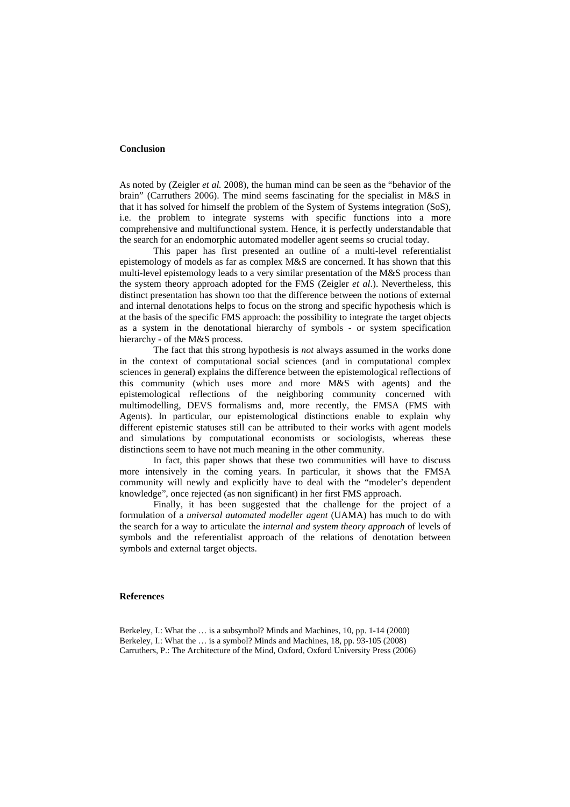### **Conclusion**

As noted by (Zeigler *et al.* 2008), the human mind can be seen as the "behavior of the brain" (Carruthers 2006). The mind seems fascinating for the specialist in M&S in that it has solved for himself the problem of the System of Systems integration (SoS), i.e. the problem to integrate systems with specific functions into a more comprehensive and multifunctional system. Hence, it is perfectly understandable that the search for an endomorphic automated modeller agent seems so crucial today.

This paper has first presented an outline of a multi-level referentialist epistemology of models as far as complex M&S are concerned. It has shown that this multi-level epistemology leads to a very similar presentation of the M&S process than the system theory approach adopted for the FMS (Zeigler *et al*.). Nevertheless, this distinct presentation has shown too that the difference between the notions of external and internal denotations helps to focus on the strong and specific hypothesis which is at the basis of the specific FMS approach: the possibility to integrate the target objects as a system in the denotational hierarchy of symbols - or system specification hierarchy - of the M&S process.

The fact that this strong hypothesis is *not* always assumed in the works done in the context of computational social sciences (and in computational complex sciences in general) explains the difference between the epistemological reflections of this community (which uses more and more M&S with agents) and the epistemological reflections of the neighboring community concerned with multimodelling, DEVS formalisms and, more recently, the FMSA (FMS with Agents). In particular, our epistemological distinctions enable to explain why different epistemic statuses still can be attributed to their works with agent models and simulations by computational economists or sociologists, whereas these distinctions seem to have not much meaning in the other community.

In fact, this paper shows that these two communities will have to discuss more intensively in the coming years. In particular, it shows that the FMSA community will newly and explicitly have to deal with the "modeler's dependent knowledge", once rejected (as non significant) in her first FMS approach.

Finally, it has been suggested that the challenge for the project of a formulation of a *universal automated modeller agent* (UAMA) has much to do with the search for a way to articulate the *internal and system theory approach* of levels of symbols and the referentialist approach of the relations of denotation between symbols and external target objects.

#### **References**

Berkeley, I.: What the … is a subsymbol? Minds and Machines, 10, pp. 1-14 (2000) Berkeley, I.: What the … is a symbol? Minds and Machines, 18, pp. 93-105 (2008) Carruthers, P.: The Architecture of the Mind, Oxford, Oxford University Press (2006)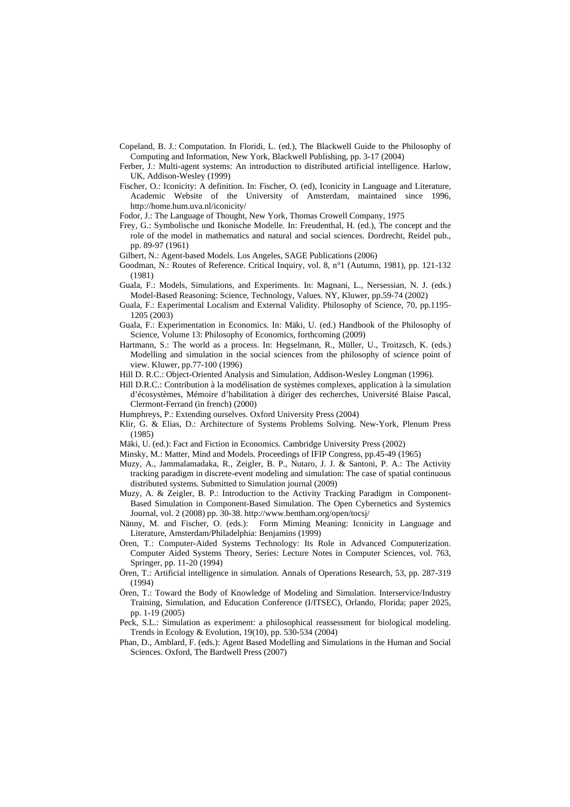- Copeland, B. J.: Computation. In Floridi, L. (ed.), The Blackwell Guide to the Philosophy of Computing and Information, New York, Blackwell Publishing, pp. 3-17 (2004)
- Ferber, J.: Multi-agent systems: An introduction to distributed artificial intelligence*.* Harlow, UK, Addison-Wesley (1999)
- Fischer, O.: Iconicity: A definition. In: Fischer, O. (ed), Iconicity in Language and Literature, Academic Website of the University of Amsterdam, maintained since 1996, http://home.hum.uva.nl/iconicity/
- Fodor, J.: The Language of Thought, New York, Thomas Crowell Company, 1975
- Frey, G.: Symbolische und Ikonische Modelle. In: Freudenthal, H. (ed.), The concept and the role of the model in mathematics and natural and social sciences. Dordrecht, Reidel pub., pp. 89-97 (1961)
- Gilbert, N.: Agent-based Models. Los Angeles, SAGE Publications (2006)
- Goodman, N.: Routes of Reference. Critical Inquiry, vol. 8, n°1 (Autumn, 1981), pp. 121-132 (1981)
- Guala, F.: Models, Simulations, and Experiments. In: Magnani, L., Nersessian, N. J. (eds.) Model-Based Reasoning: Science, Technology, Values. NY, Kluwer, pp.59-74 (2002)
- Guala, F.: Experimental Localism and External Validity. Philosophy of Science, 70, pp.1195- 1205 (2003)
- Guala, F.: Experimentation in Economics. In: Mäki, U. (ed.) Handbook of the Philosophy of Science, Volume 13: Philosophy of Economics, forthcoming (2009)
- Hartmann, S.: The world as a process. In: Hegselmann, R., Müller, U., Troitzsch, K. (eds.) Modelling and simulation in the social sciences from the philosophy of science point of view. Kluwer, pp.77-100 (1996)
- Hill D. R.C.: Object-Oriented Analysis and Simulation, Addison-Wesley Longman (1996).
- Hill D.R.C.: Contribution à la modélisation de systèmes complexes, application à la simulation d'écosystèmes, Mémoire d'habilitation à diriger des recherches, Université Blaise Pascal, Clermont-Ferrand (in french) (2000)
- Humphreys, P.: Extending ourselves. Oxford University Press (2004)
- Klir, G. & Elias, D.: Architecture of Systems Problems Solving. New-York, Plenum Press (1985)
- Mäki, U. (ed.): Fact and Fiction in Economics. Cambridge University Press (2002)
- Minsky, M.: Matter, Mind and Models. Proceedings of IFIP Congress, pp.45-49 (1965)
- Muzy, A., Jammalamadaka, R., Zeigler, B. P., Nutaro, J. J. & Santoni, P. A.: The Activity tracking paradigm in discrete-event modeling and simulation: The case of spatial continuous distributed systems. Submitted to Simulation journal (2009)
- Muzy, A. & Zeigler, B. P.: Introduction to the Activity Tracking Paradigm in Component-Based Simulation in Component-Based Simulation. The Open Cybernetics and Systemics Journal, vol. 2 (2008) pp. 30-38. http://www.bentham.org/open/tocsj/
- Nänny, M. and Fischer, O. (eds.): Form Miming Meaning: Iconicity in Language and Literature, Amsterdam/Philadelphia: Benjamins (1999)
- Ören, T.: Computer-Aided Systems Technology: Its Role in Advanced Computerization. Computer Aided Systems Theory, Series: Lecture Notes in Computer Sciences, vol. 763, Springer, pp. 11-20 (1994)
- Ören, T.: Artificial intelligence in simulation. Annals of Operations Research, 53, pp. 287-319 (1994)
- Ören, T.: Toward the Body of Knowledge of Modeling and Simulation. Interservice/Industry Training, Simulation, and Education Conference (I/ITSEC), Orlando, Florida; paper 2025, pp. 1-19 (2005)
- Peck, S.L.: Simulation as experiment: a philosophical reassessment for biological modeling. Trends in Ecology & Evolution, 19(10), pp. 530-534 (2004)
- Phan, D., Amblard, F. (eds.): Agent Based Modelling and Simulations in the Human and Social Sciences. Oxford, The Bardwell Press (2007)